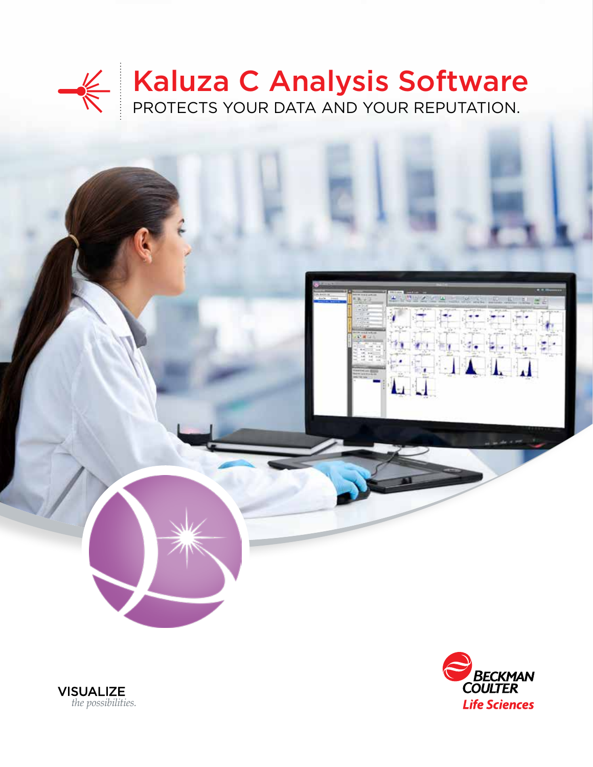## Kaluza C Analysis Software PROTECTS YOUR DATA AND YOUR REPUTATION.





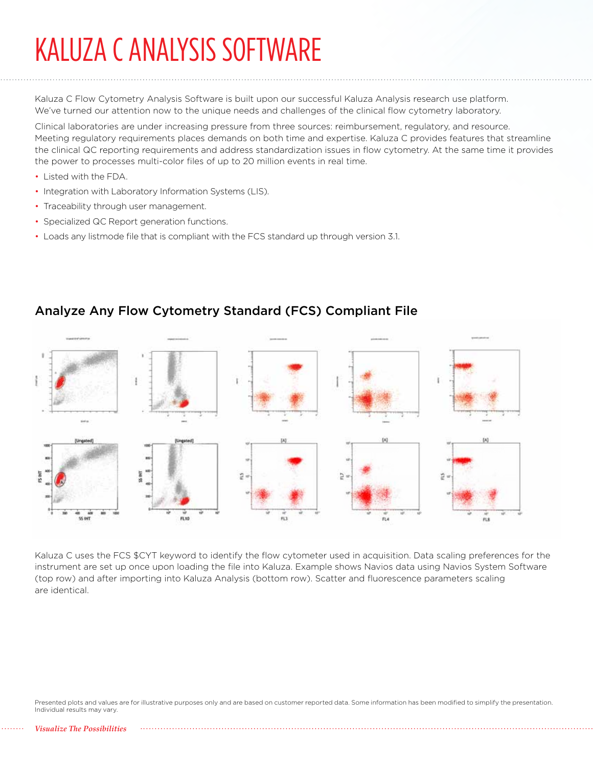## KALUZA C ANALYSIS SOFTWARE

Kaluza C Flow Cytometry Analysis Software is built upon our successful Kaluza Analysis research use platform. We've turned our attention now to the unique needs and challenges of the clinical flow cytometry laboratory.

Clinical laboratories are under increasing pressure from three sources: reimbursement, regulatory, and resource. Meeting regulatory requirements places demands on both time and expertise. Kaluza C provides features that streamline the clinical QC reporting requirements and address standardization issues in flow cytometry. At the same time it provides the power to processes multi-color files of up to 20 million events in real time.

- Listed with the FDA.
- Integration with Laboratory Information Systems (LIS).
- Traceability through user management.
- Specialized QC Report generation functions.
- Loads any listmode file that is compliant with the FCS standard up through version 3.1.



### Analyze Any Flow Cytometry Standard (FCS) Compliant File

Kaluza C uses the FCS \$CYT keyword to identify the flow cytometer used in acquisition. Data scaling preferences for the instrument are set up once upon loading the file into Kaluza. Example shows Navios data using Navios System Software (top row) and after importing into Kaluza Analysis (bottom row). Scatter and fluorescence parameters scaling are identical.

Presented plots and values are for illustrative purposes only and are based on customer reported data. Some information has been modified to simplify the presentation. Individual results may vary.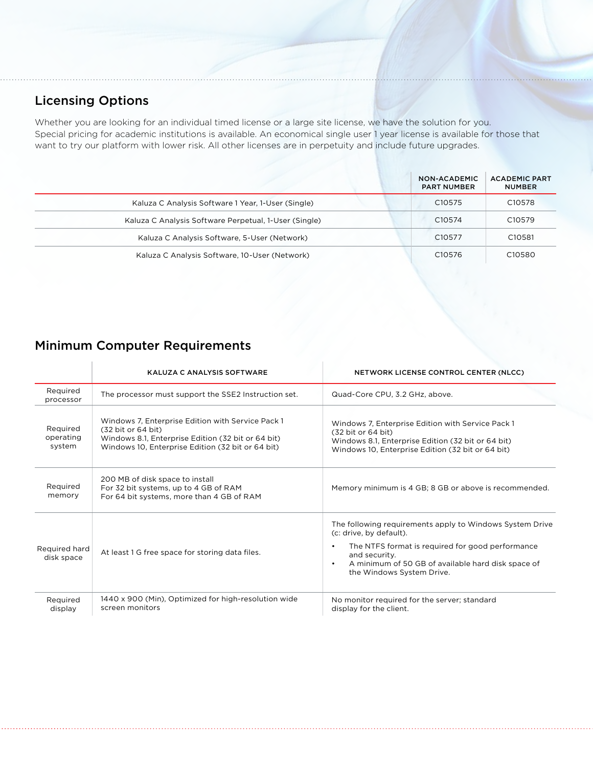## Licensing Options

Whether you are looking for an individual timed license or a large site license, we have the solution for you. Special pricing for academic institutions is available. An economical single user 1 year license is available for those that want to try our platform with lower risk. All other licenses are in perpetuity and include future upgrades.

|                                                       | NON-ACADEMIC<br><b>PART NUMBER</b> | <b>ACADEMIC PART</b><br><b>NUMBER</b> |
|-------------------------------------------------------|------------------------------------|---------------------------------------|
| Kaluza C Analysis Software 1 Year, 1-User (Single)    | C <sub>10575</sub>                 | C <sub>10578</sub>                    |
| Kaluza C Analysis Software Perpetual, 1-User (Single) | C <sub>10574</sub>                 | C <sub>10579</sub>                    |
| Kaluza C Analysis Software, 5-User (Network)          | C <sub>10577</sub>                 | C <sub>10581</sub>                    |
| Kaluza C Analysis Software, 10-User (Network)         | C <sub>10576</sub>                 | C <sub>10580</sub>                    |

## Minimum Computer Requirements

|                                 | <b>KALUZA C ANALYSIS SOFTWARE</b>                                                                                                                                                  | NETWORK LICENSE CONTROL CENTER (NLCC)                                                                                                                                                                                                                    |
|---------------------------------|------------------------------------------------------------------------------------------------------------------------------------------------------------------------------------|----------------------------------------------------------------------------------------------------------------------------------------------------------------------------------------------------------------------------------------------------------|
| Required<br>processor           | The processor must support the SSE2 Instruction set.                                                                                                                               | Quad-Core CPU, 3.2 GHz, above.                                                                                                                                                                                                                           |
| Required<br>operating<br>system | Windows 7, Enterprise Edition with Service Pack 1<br>(32 bit or 64 bit)<br>Windows 8.1, Enterprise Edition (32 bit or 64 bit)<br>Windows 10, Enterprise Edition (32 bit or 64 bit) | Windows 7, Enterprise Edition with Service Pack 1<br>(32 bit or 64 bit)<br>Windows 8.1, Enterprise Edition (32 bit or 64 bit)<br>Windows 10, Enterprise Edition (32 bit or 64 bit)                                                                       |
| Required<br>memory              | 200 MB of disk space to install<br>For 32 bit systems, up to 4 GB of RAM<br>For 64 bit systems, more than 4 GB of RAM                                                              | Memory minimum is 4 GB; 8 GB or above is recommended.                                                                                                                                                                                                    |
| Required hard<br>disk space     | At least 1 G free space for storing data files.                                                                                                                                    | The following requirements apply to Windows System Drive<br>(c: drive, by default).<br>The NTFS format is required for good performance<br>and security.<br>A minimum of 50 GB of available hard disk space of<br>$\bullet$<br>the Windows System Drive. |
| Required<br>display             | 1440 x 900 (Min), Optimized for high-resolution wide<br>screen monitors                                                                                                            | No monitor required for the server; standard<br>display for the client.                                                                                                                                                                                  |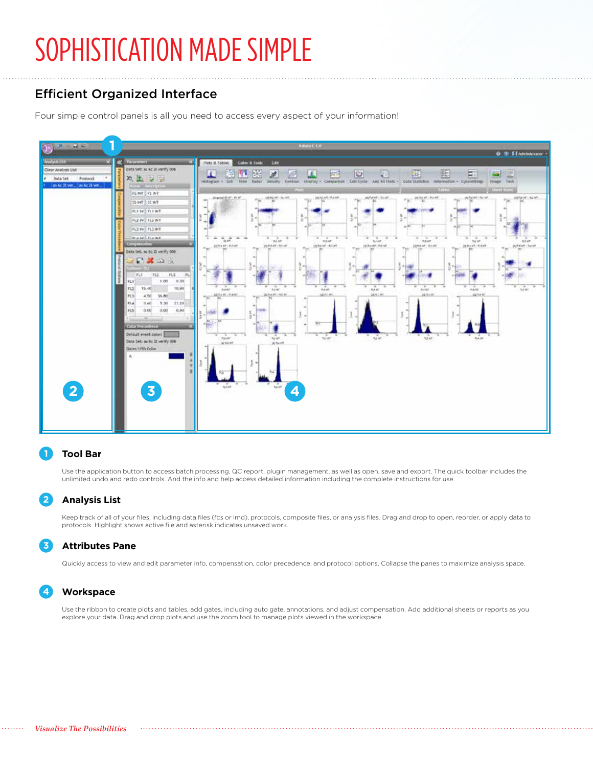## SOPHISTICATION MADE SIMPLE

## Efficient Organized Interface

Four simple control panels is all you need to access every aspect of your information!



#### **Tool Bar 1**

Use the application button to access batch processing, QC report, plugin management, as well as open, save and export. The quick toolbar includes the unlimited undo and redo controls. And the info and help access detailed information including the complete instructions for use.

#### **Analysis List 2**

Keep track of all of your files, including data files (fcs or lmd), protocols, composite files, or analysis files. Drag and drop to open, reorder, or apply data to protocols. Highlight shows active file and asterisk indicates unsaved work.

#### **Attributes Pane 3**

Quickly access to view and edit parameter info, compensation, color precedence, and protocol options. Collapse the panes to maximize analysis space.

#### **Workspace 4**

Use the ribbon to create plots and tables, add gates, including auto gate, annotations, and adjust compensation. Add additional sheets or reports as you explore your data. Drag and drop plots and use the zoom tool to manage plots viewed in the workspace.

. . . . . . . .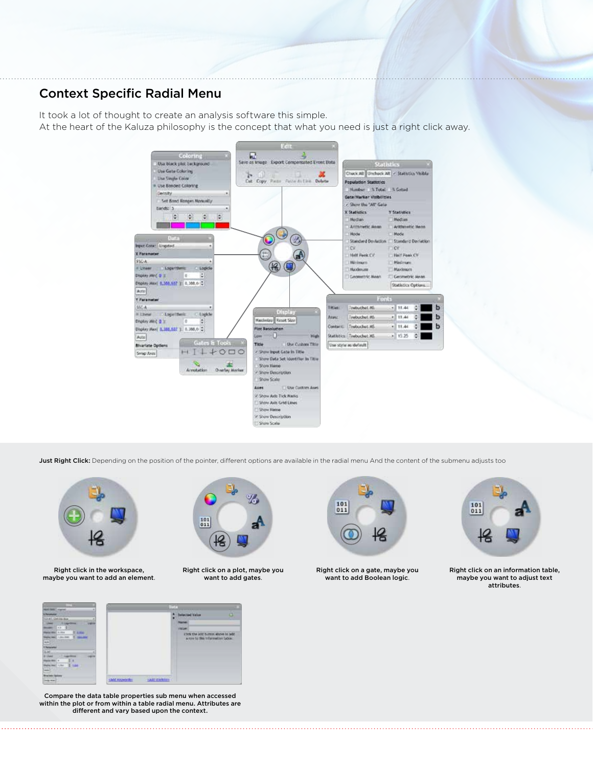## Context Specific Radial Menu

It took a lot of thought to create an analysis software this simple. At the heart of the Kaluza philosophy is the concept that what you need is just a right click away.



Just Right Click: Depending on the position of the pointer, different options are available in the radial menu And the content of the submenu adjusts too



Right click in the workspace, maybe you want to add an element.



Right click on a plot, maybe you want to add gates.



Right click on a gate, maybe you want to add Boolean logic.



Right click on an information table, maybe you want to adjust text attributes.



Compare the data table properties sub menu when accessed within the plot or from within a table radial menu. Attributes are different and vary based upon the context.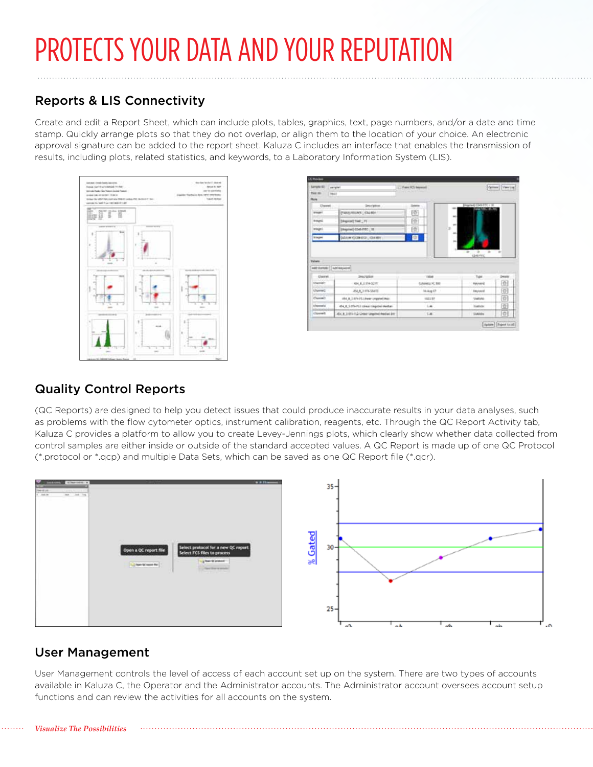# PROTECTS YOUR DATA AND YOUR REPUTATION

## Reports & LIS Connectivity

Create and edit a Report Sheet, which can include plots, tables, graphics, text, page numbers, and/or a date and time stamp. Quickly arrange plots so that they do not overlap, or align them to the location of your choice. An electronic approval signature can be added to the report sheet. Kaluza C includes an interface that enables the transmission of results, including plots, related statistics, and keywords, to a Laboratory Information System (LIS).



| <b>Lampid RD</b><br>Two 25-<br><b>BAGIT</b> | paraphet                                 | - French Cli bermani            |                                                      | Director (View Link) |
|---------------------------------------------|------------------------------------------|---------------------------------|------------------------------------------------------|----------------------|
| <b>Player</b>                               |                                          |                                 |                                                      |                      |
| Owen                                        | Description.                             |                                 | Blog-had (S49-FFC / 98<br><b>THIS COUNTY AND WAY</b> |                      |
| <b>Integet</b>                              | <b>ENVIRONMENT CEDARDA</b>               | 団                               | ×                                                    |                      |
| <b>Smart</b>                                | Shipped Tool _ Vi                        | m                               |                                                      |                      |
| troups).                                    | (Maynet) 0345 ATC [11]                   | 面                               |                                                      |                      |
|                                             |                                          |                                 |                                                      |                      |
| knope<br><b>Vulners</b>                     | SALE CREEK, GERRY                        | 旬                               | ×<br>- 44<br><b>IDANTIC</b>                          | $\sim$               |
| antitures [ aptroport]                      |                                          |                                 |                                                      |                      |
| <b>Clustral</b><br>Clament!                 | <b>Description</b><br>- 初心 ま. 上 154-1215 | <b>Table</b><br>Columnia HL 560 | Tupe<br>Keynard                                      | Depth<br>$\circ$     |
| themed.                                     | <b>JOLA 3 HIGHLAND</b>                   | <b>In Aug 17</b>                | Edytoted                                             | o                    |
| Capmack.                                    | 454 B. LEFA-IS Linear crapted that       | 1023.57                         | <b>Statistic</b>                                     | 位                    |
| L'hiamatai                                  | 454 K.S.STA FLS Linear Lingabed Mediate  | 1.46                            | <b>Satisfactor</b>                                   | 位                    |

## Quality Control Reports

(QC Reports) are designed to help you detect issues that could produce inaccurate results in your data analyses, such as problems with the flow cytometer optics, instrument calibration, reagents, etc. Through the QC Report Activity tab, Kaluza C provides a platform to allow you to create Levey-Jennings plots, which clearly show whether data collected from control samples are either inside or outside of the standard accepted values. A QC Report is made up of one QC Protocol (\*.protocol or \*.qcp) and multiple Data Sets, which can be saved as one QC Report file (\*.qcr).



## User Management

User Management controls the level of access of each account set up on the system. There are two types of accounts available in Kaluza C, the Operator and the Administrator accounts. The Administrator account oversees account setup functions and can review the activities for all accounts on the system.

#### *Visualize The Possibilities*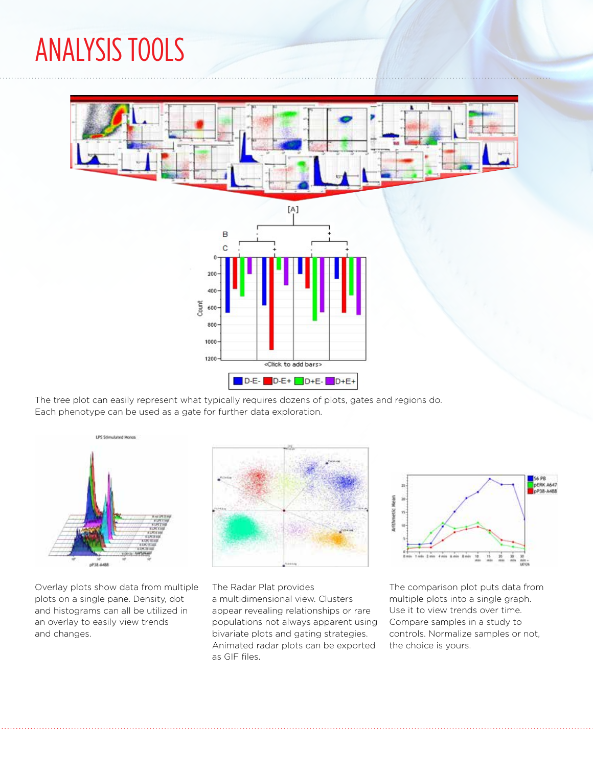ANALYSIS TOOLS



The tree plot can easily represent what typically requires dozens of plots, gates and regions do. Each phenotype can be used as a gate for further data exploration.



Overlay plots show data from multiple plots on a single pane. Density, dot and histograms can all be utilized in an overlay to easily view trends and changes.



The Radar Plat provides a multidimensional view. Clusters appear revealing relationships or rare populations not always apparent using bivariate plots and gating strategies. Animated radar plots can be exported as GIF files.



The comparison plot puts data from multiple plots into a single graph. Use it to view trends over time. Compare samples in a study to controls. Normalize samples or not, the choice is yours.